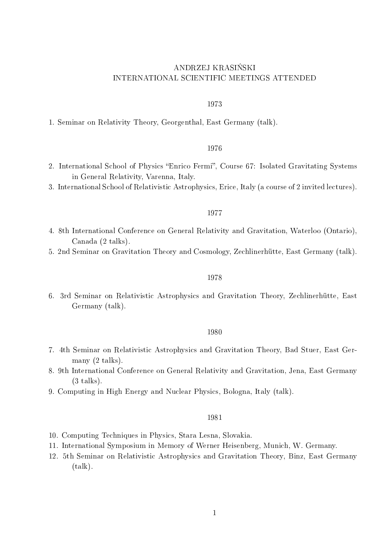# ANDRZEJ KRASIŃSKI INTERNATIONAL SCIENTIFIC MEETINGS ATTENDED

### 1973

1. Seminar on Relativity Theory, Georgenthal, East Germany (talk).

# 1976

- 2. International School of Physics "Enrico Fermi", Course 67: Isolated Gravitating Systems in General Relativity, Varenna, Italy.
- 3. International School of Relativistic Astrophysics, Erice, Italy (a course of 2 invited lectures).

# 1977

- 4. 8th International Conference on General Relativity and Gravitation, Waterloo (Ontario), Canada (2 talks).
- 5. 2nd Seminar on Gravitation Theory and Cosmology, Zechlinerhütte, East Germany (talk).

### 1978

6. 3rd Seminar on Relativistic Astrophysics and Gravitation Theory, Zechlinerhütte, East Germany (talk).

### 1980

- 7. 4th Seminar on Relativistic Astrophysics and Gravitation Theory, Bad Stuer, East Germany (2 talks).
- 8. 9th International Conference on General Relativity and Gravitation, Jena, East Germany  $(3$  talks).
- 9. Computing in High Energy and Nuclear Physics, Bologna, Italy (talk).

## 1981

- 10. Computing Techniques in Physics, Stara Lesna, Slovakia.
- 11. International Symposium in Memory of Werner Heisenberg, Munich, W. Germany.
- 12. 5th Seminar on Relativistic Astrophysics and Gravitation Theory, Binz, East Germany (talk).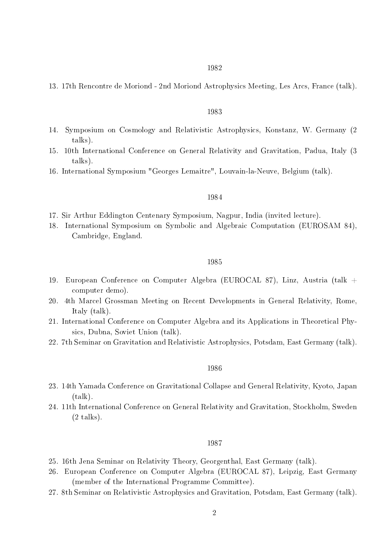13. 17th Rencontre de Moriond - 2nd Moriond Astrophysics Meeting, Les Arcs, France (talk).

### 1983

- 14. Symposium on Cosmology and Relativistic Astrophysics, Konstanz, W. Germany (2 talks).
- 15. 10th International Conference on General Relativity and Gravitation, Padua, Italy (3 talks).
- 16. International Symposium "Georges Lemaitre", Louvain-la-Neuve, Belgium (talk).

### 1984

- 17. Sir Arthur Eddington Centenary Symposium, Nagpur, India (invited lecture).
- 18. International Symposium on Symbolic and Algebraic Computation (EUROSAM 84), Cambridge, England.

#### 1985

- 19. European Conference on Computer Algebra (EUROCAL 87), Linz, Austria (talk + computer demo).
- 20. 4th Marcel Grossman Meeting on Recent Developments in General Relativity, Rome, Italy (talk).
- 21. International Conference on Computer Algebra and its Applications in Theoretical Physics, Dubna, Soviet Union (talk).
- 22. 7th Seminar on Gravitation and Relativistic Astrophysics, Potsdam, East Germany (talk).

### 1986

- 23. 14th Yamada Conference on Gravitational Collapse and General Relativity, Kyoto, Japan (talk).
- 24. 11th International Conference on General Relativity and Gravitation, Stockholm, Sweden  $(2$  talks).

### 1987

- 25. 16th Jena Seminar on Relativity Theory, Georgenthal, East Germany (talk).
- 26. European Conference on Computer Algebra (EUROCAL 87), Leipzig, East Germany (member of the International Programme Committee).
- 27. 8th Seminar on Relativistic Astrophysics and Gravitation, Potsdam, East Germany (talk).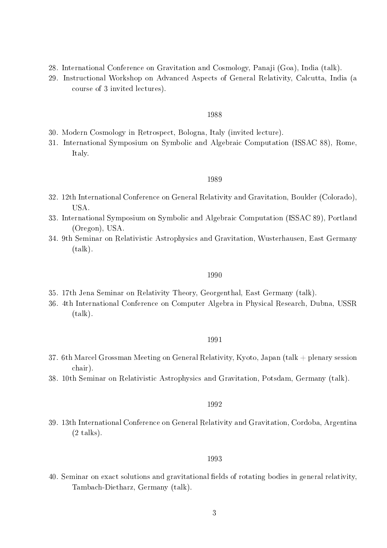- 28. International Conference on Gravitation and Cosmology, Panaji (Goa), India (talk).
- 29. Instructional Workshop on Advanced Aspects of General Relativity, Calcutta, India (a course of 3 invited lectures).

### 1988

- 30. Modern Cosmology in Retrospect, Bologna, Italy (invited lecture).
- 31. International Symposium on Symbolic and Algebraic Computation (ISSAC 88), Rome, Italy.

### 1989

- 32. 12th International Conference on General Relativity and Gravitation, Boulder (Colorado), USA.
- 33. International Symposium on Symbolic and Algebraic Computation (ISSAC 89), Portland (Oregon), USA.
- 34. 9th Seminar on Relativistic Astrophysics and Gravitation, Wusterhausen, East Germany (talk).

# 1990

- 35. 17th Jena Seminar on Relativity Theory, Georgenthal, East Germany (talk).
- 36. 4th International Conference on Computer Algebra in Physical Research, Dubna, USSR (talk).

### 1991

- 37. 6th Marcel Grossman Meeting on General Relativity, Kyoto, Japan (talk + plenary session chair).
- 38. 10th Seminar on Relativistic Astrophysics and Gravitation, Potsdam, Germany (talk).

### 1992

39. 13th International Conference on General Relativity and Gravitation, Cordoba, Argentina  $(2$  talks).

### 1993

40. Seminar on exact solutions and gravitational fields of rotating bodies in general relativity, Tambach-Dietharz, Germany (talk).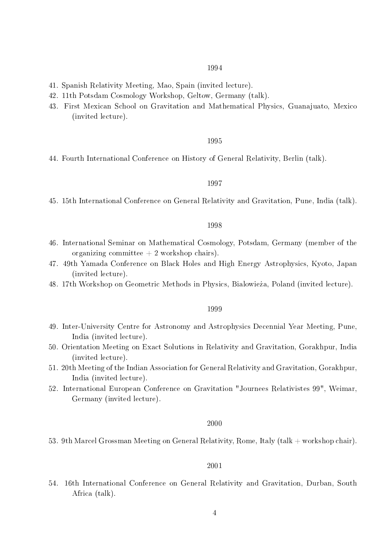# 1994

- 41. Spanish Relativity Meeting, Mao, Spain (invited lecture).
- 42. 11th Potsdam Cosmology Workshop, Geltow, Germany (talk).
- 43. First Mexican School on Gravitation and Mathematical Physics, Guanajuato, Mexico (invited lecture).

### 1995

44. Fourth International Conference on History of General Relativity, Berlin (talk).

# 1997

45. 15th International Conference on General Relativity and Gravitation, Pune, India (talk).

# 1998

- 46. International Seminar on Mathematical Cosmology, Potsdam, Germany (member of the organizing committee  $+2$  workshop chairs).
- 47. 49th Yamada Conference on Black Holes and High Energy Astrophysics, Kyoto, Japan (invited lecture).
- 48. 17th Workshop on Geometric Methods in Physics, Bialowieża, Poland (invited lecture).

### 1999

- 49. Inter-University Centre for Astronomy and Astrophysics Decennial Year Meeting, Pune, India (invited lecture).
- 50. Orientation Meeting on Exact Solutions in Relativity and Gravitation, Gorakhpur, India (invited lecture).
- 51. 20th Meeting of the Indian Association for General Relativity and Gravitation, Gorakhpur, India (invited lecture).
- 52. International European Conference on Gravitation "Journees Relativistes 99", Weimar, Germany (invited lecture).

### 2000

53. 9th Marcel Grossman Meeting on General Relativity, Rome, Italy (talk + workshop chair).

### 2001

54. 16th International Conference on General Relativity and Gravitation, Durban, South Africa (talk).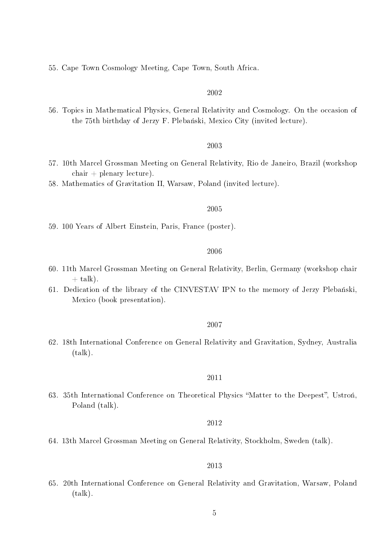55. Cape Town Cosmology Meeting, Cape Town, South Africa.

# 2002

56. Topics in Mathematical Physics, General Relativity and Cosmology. On the occasion of the 75th birthday of Jerzy F. Plebański, Mexico City (invited lecture).

# 2003

- 57. 10th Marcel Grossman Meeting on General Relativity, Rio de Janeiro, Brazil (workshop  $\text{chair} + \text{plementary lecture}.$
- 58. Mathematics of Gravitation II, Warsaw, Poland (invited lecture).

### 2005

59. 100 Years of Albert Einstein, Paris, France (poster).

#### 2006

- 60. 11th Marcel Grossman Meeting on General Relativity, Berlin, Germany (workshop chair  $+$  talk).
- 61. Dedication of the library of the CINVESTAV IPN to the memory of Jerzy Plebański. Mexico (book presentation).

# 2007

62. 18th International Conference on General Relativity and Gravitation, Sydney, Australia (talk).

### 2011

63. 35th International Conference on Theoretical Physics "Matter to the Deepest", Ustron. Poland (talk).

## 2012

64. 13th Marcel Grossman Meeting on General Relativity, Stockholm, Sweden (talk).

# 2013

65. 20th International Conference on General Relativity and Gravitation, Warsaw, Poland (talk).